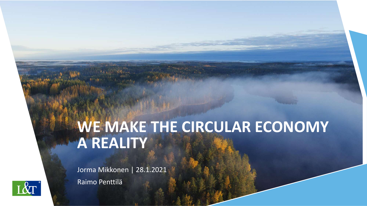# **WE MAKE THE CIRCULAR ECONOMY A REALITY**

Jorma Mikkonen | 28.1.2021 Raimo Penttilä

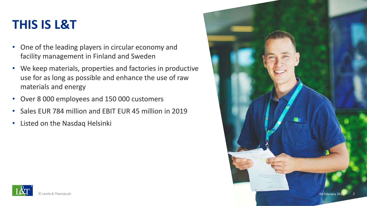### **THIS IS L&T**

- One of the leading players in circular economy and facility management in Finland and Sweden
- We keep materials, properties and factories in productive use for as long as possible and enhance the use of raw materials and energy
- Over 8 000 employees and 150 000 customers
- Sales EUR 784 million and EBIT EUR 45 million in 2019
- Listed on the Nasdaq Helsinki

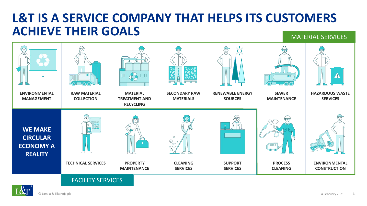### **L&T IS A SERVICE COMPANY THAT HELPS ITS CUSTOMERS ACHIEVE THEIR GOALS** MATERIAL SERVICES



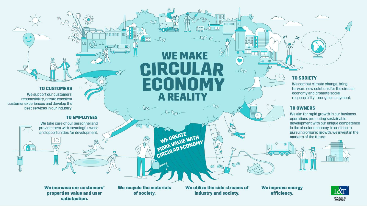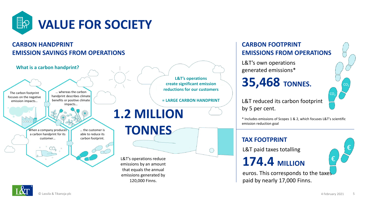

### **CARBON HANDPRINT EMISSION SAVINGS FROM OPERATIONS**



#### **CARBON FOOTPRINT EMISSIONS FROM OPERATIONS**

L&T's own operations generated emissions\*

### **35,468 TONNES.**

L&T reduced its carbon footprint by 5 per cent.  $\mathbb{R}^2$ 

\* Includes emissions of Scopes 1 & 2, which focuses L&T's scientific emission reduction goal

#### **TAX FOOTPRINT**

L&T paid taxes totalling

### **174.4 MILLION**



 $\mathcal{L}$ 

 $CO<sub>2</sub>$ 

 $CO<sub>2</sub>$ 

euros. This corresponds to the taxes paid by nearly 17,000 Finns.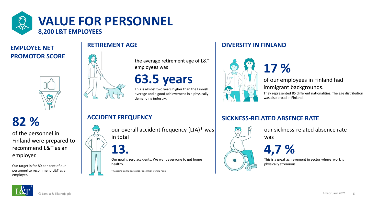

### **RETIREMENT AGE PROMOTOR SCORE**



the average retirement age of L&T employees was

### **63.5 years**

This is almost two years higher than the Finnish average and a good achievement in a physically demanding industry.

#### **DIVERSITY IN FINLAND**



of our employees in Finland had immigrant backgrounds.

They represented 85 different nationalities. The age distribution was also broad in Finland.

**82 %**

of the personnel in Finland were prepared to recommend L&T as an employer.

Our target is for 80 per cent of our personnel to recommend L&T as an employer.

#### **ACCIDENT FREQUENCY**

our overall accident frequency (LTA)\* was in total



**13.**

Our goal is zero accidents. We want everyone to get home healthy.

\* Accidents leading to absence / one million working hours

#### **SICKNESS-RELATED ABSENCE RATE**

**17 %** 



our sickness-related absence rate was



This is a great achievement in sector where work is physically strenuous.

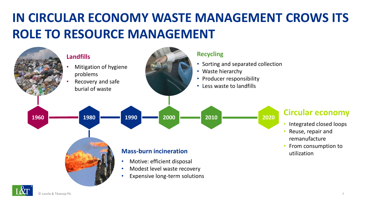# **IN CIRCULAR ECONOMY WASTE MANAGEMENT CROWS ITS ROLE TO RESOURCE MANAGEMENT**

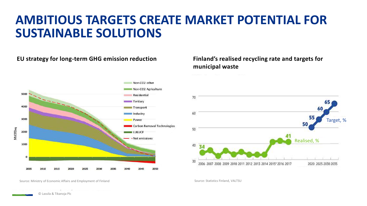### **AMBITIOUS TARGETS CREATE MARKET POTENTIAL FOR SUSTAINABLE SOLUTIONS**

#### **EU strategy for long-term GHG emission reduction Finland's realised recycling rate and targets for**



## **municipal waste**



Source: Ministry of Economic Affairs and Employment of Finland Source: Statistics Finland, VALTSU

© Lassila & Tikanoja Plc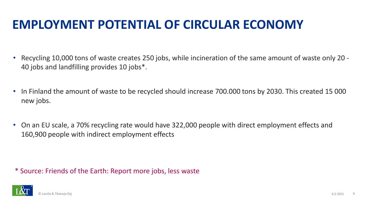## **EMPLOYMENT POTENTIAL OF CIRCULAR ECONOMY**

- Recycling 10,000 tons of waste creates 250 jobs, while incineration of the same amount of waste only 20 40 jobs and landfilling provides 10 jobs\*.
- In Finland the amount of waste to be recycled should increase 700.000 tons by 2030. This created 15 000 new jobs.
- On an EU scale, a 70% recycling rate would have 322,000 people with direct employment effects and 160,900 people with indirect employment effects

\* Source: Friends of the Earth: Report more jobs, less waste